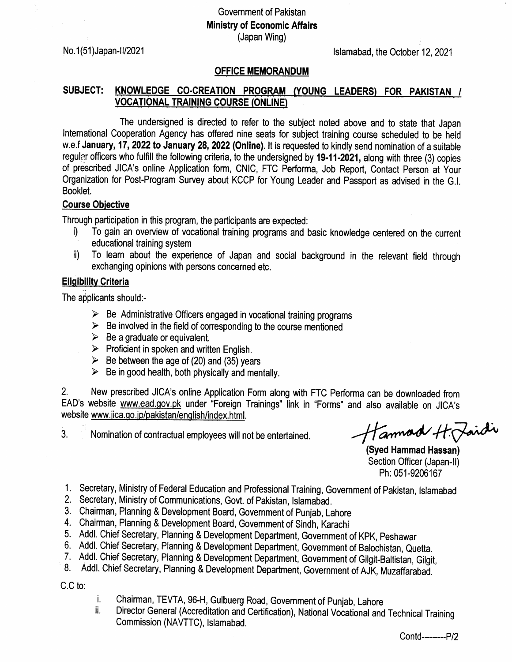# Government of Pakistan Ministry of Economic Affairs (Japan Wing)

No. 1(51)Japan-1/2021 16. No. 1(51)Japan-1/2021

#### OFFICE MEMORANDUM

## SUBJECT: KNOWLEDGE CO-CREATION PROGRAM (YOUNG LEADERS) FOR PAKISTAN / VOCATIONAL TRAINING COURSE (ONLINE)

The undersigned is directed to refer to the subject noted above and to state that Japan lnternational Cooperation Agency has offered nine seats for subject training course scheduled to be held w.e.f January, 17, 2022 to January 28, 2022 (Online). It is requested to kindly send nomination of a suitable regular officers who fulfill the following criteria, to the undersigned by 19-11-2021, along with three (3) copies of prescribed JICA's online Application form, CNIC, FTC Performa, Job Report, Contact Person at Your Organization for Post-Program Survey about KCCP for Young Leader and Passport as advised in the G.l. Booklet.

### Course Obiective

- Through participation in this program, the participants are expected: i) To gain an overview of vocational training programs and basic knowledge centered on the current
	- ii) To learn about the experience of Japan and social background in the relevant field through exchanging opinions with persons concerned etc.

### Eliqibilitv Criteria

The applicants should:-

- $\triangleright$  Be Administrative Officers engaged in vocational training programs
- $\triangleright$  Be involved in the field of corresponding to the course mentioned
- $\triangleright$  Be a graduate or equivalent.
- $\triangleright$  Proficient in spoken and written English.
- $\triangleright$  Be between the age of (20) and (35) years
- $\triangleright$  Be in good health, both physically and mentally.

2. New prescribed JICA's online Application Form along with FTC Performa can be downloaded from EAD's website www.ead.gov.pk under "Foreign Trainings" link in "Forms" and also available on JICA's website www.jica.go.jp/pakistan/english/index.html.

3. Nomination of contractual employees will not be entertained.

Hannad H. Jaidi

(Syed Hammad Hassan) Section Officer (Japan-II) Ph: 051-9206167

- 1. Secretary, Ministry of Federal Education and Professional Training, Government of Pakistan, Islamabad<br>2. Secretary, Ministry of Communications, Govt. of Pakistan, Islamabad.
- 
- 3, Chairman, Planning & Development Board, Government of Punjab, Lahore
- 
- 4. Chairman, Planning & Development Board, Government of Sindh, Karachi
- 
- 6. Addl. Chief Secretary, Planning & Development Department, Government of Balochistan, Quetta.<br>7. Addl. Chief Secretary, Planning & Development Department, Government of Gilgit-Baltistan, Gilgit,<br>8. Addl. Chief Secretary,
- 

C.C to:

- 
- i. Chairman, TEVTA, 96-H, Gulbuerg Road, Government of Punjab, Lahore<br>ii. Director General (Accreditation and Certification), National Vocational and Technical Training Commission (NAVTTC), lslamabad.